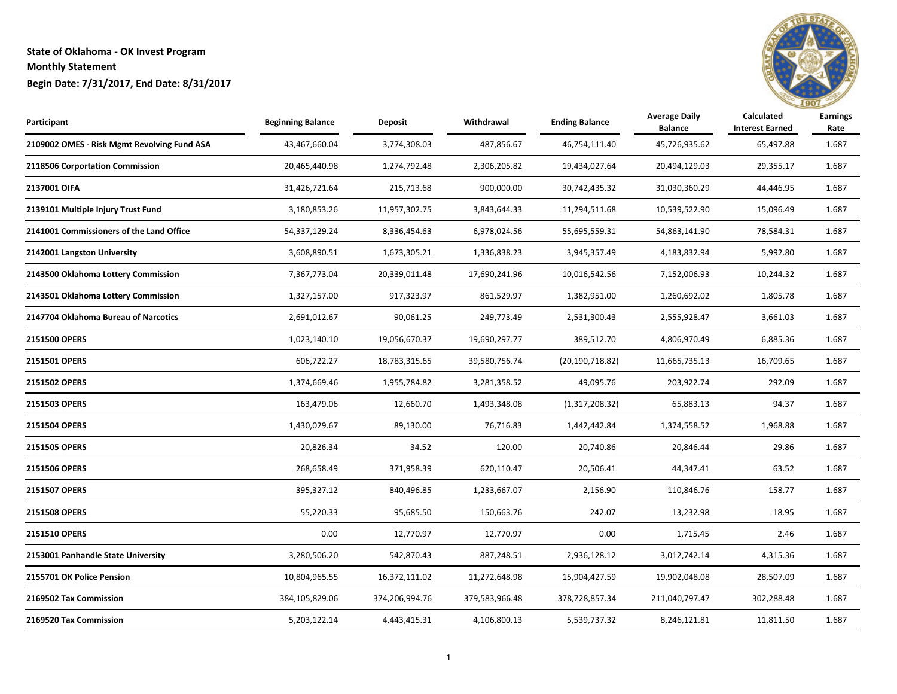

| Participant                                 | <b>Beginning Balance</b> | Deposit        | Withdrawal     | <b>Ending Balance</b> | <b>Average Daily</b><br><b>Balance</b> | Calculated<br><b>Interest Earned</b> | <b>Earnings</b><br>Rate |
|---------------------------------------------|--------------------------|----------------|----------------|-----------------------|----------------------------------------|--------------------------------------|-------------------------|
| 2109002 OMES - Risk Mgmt Revolving Fund ASA | 43,467,660.04            | 3,774,308.03   | 487,856.67     | 46,754,111.40         | 45,726,935.62                          | 65,497.88                            | 1.687                   |
| 2118506 Corportation Commission             | 20,465,440.98            | 1,274,792.48   | 2,306,205.82   | 19,434,027.64         | 20,494,129.03                          | 29,355.17                            | 1.687                   |
| 2137001 OIFA                                | 31,426,721.64            | 215,713.68     | 900,000.00     | 30,742,435.32         | 31,030,360.29                          | 44,446.95                            | 1.687                   |
| 2139101 Multiple Injury Trust Fund          | 3,180,853.26             | 11,957,302.75  | 3,843,644.33   | 11,294,511.68         | 10,539,522.90                          | 15,096.49                            | 1.687                   |
| 2141001 Commissioners of the Land Office    | 54,337,129.24            | 8,336,454.63   | 6,978,024.56   | 55,695,559.31         | 54,863,141.90                          | 78,584.31                            | 1.687                   |
| 2142001 Langston University                 | 3,608,890.51             | 1,673,305.21   | 1,336,838.23   | 3,945,357.49          | 4,183,832.94                           | 5,992.80                             | 1.687                   |
| 2143500 Oklahoma Lottery Commission         | 7,367,773.04             | 20,339,011.48  | 17,690,241.96  | 10,016,542.56         | 7,152,006.93                           | 10,244.32                            | 1.687                   |
| 2143501 Oklahoma Lottery Commission         | 1,327,157.00             | 917,323.97     | 861,529.97     | 1,382,951.00          | 1,260,692.02                           | 1,805.78                             | 1.687                   |
| 2147704 Oklahoma Bureau of Narcotics        | 2,691,012.67             | 90,061.25      | 249,773.49     | 2,531,300.43          | 2,555,928.47                           | 3,661.03                             | 1.687                   |
| 2151500 OPERS                               | 1,023,140.10             | 19,056,670.37  | 19,690,297.77  | 389,512.70            | 4,806,970.49                           | 6,885.36                             | 1.687                   |
| 2151501 OPERS                               | 606,722.27               | 18,783,315.65  | 39,580,756.74  | (20, 190, 718.82)     | 11,665,735.13                          | 16,709.65                            | 1.687                   |
| 2151502 OPERS                               | 1,374,669.46             | 1,955,784.82   | 3,281,358.52   | 49,095.76             | 203,922.74                             | 292.09                               | 1.687                   |
| 2151503 OPERS                               | 163,479.06               | 12,660.70      | 1,493,348.08   | (1,317,208.32)        | 65,883.13                              | 94.37                                | 1.687                   |
| 2151504 OPERS                               | 1,430,029.67             | 89,130.00      | 76,716.83      | 1,442,442.84          | 1,374,558.52                           | 1,968.88                             | 1.687                   |
| 2151505 OPERS                               | 20,826.34                | 34.52          | 120.00         | 20,740.86             | 20,846.44                              | 29.86                                | 1.687                   |
| 2151506 OPERS                               | 268,658.49               | 371,958.39     | 620,110.47     | 20,506.41             | 44,347.41                              | 63.52                                | 1.687                   |
| 2151507 OPERS                               | 395,327.12               | 840,496.85     | 1,233,667.07   | 2,156.90              | 110,846.76                             | 158.77                               | 1.687                   |
| 2151508 OPERS                               | 55,220.33                | 95,685.50      | 150,663.76     | 242.07                | 13,232.98                              | 18.95                                | 1.687                   |
| 2151510 OPERS                               | 0.00                     | 12,770.97      | 12,770.97      | 0.00                  | 1,715.45                               | 2.46                                 | 1.687                   |
| 2153001 Panhandle State University          | 3,280,506.20             | 542,870.43     | 887,248.51     | 2,936,128.12          | 3,012,742.14                           | 4,315.36                             | 1.687                   |
| 2155701 OK Police Pension                   | 10,804,965.55            | 16,372,111.02  | 11,272,648.98  | 15,904,427.59         | 19,902,048.08                          | 28,507.09                            | 1.687                   |
| 2169502 Tax Commission                      | 384,105,829.06           | 374,206,994.76 | 379,583,966.48 | 378,728,857.34        | 211,040,797.47                         | 302,288.48                           | 1.687                   |
| 2169520 Tax Commission                      | 5,203,122.14             | 4,443,415.31   | 4,106,800.13   | 5,539,737.32          | 8,246,121.81                           | 11,811.50                            | 1.687                   |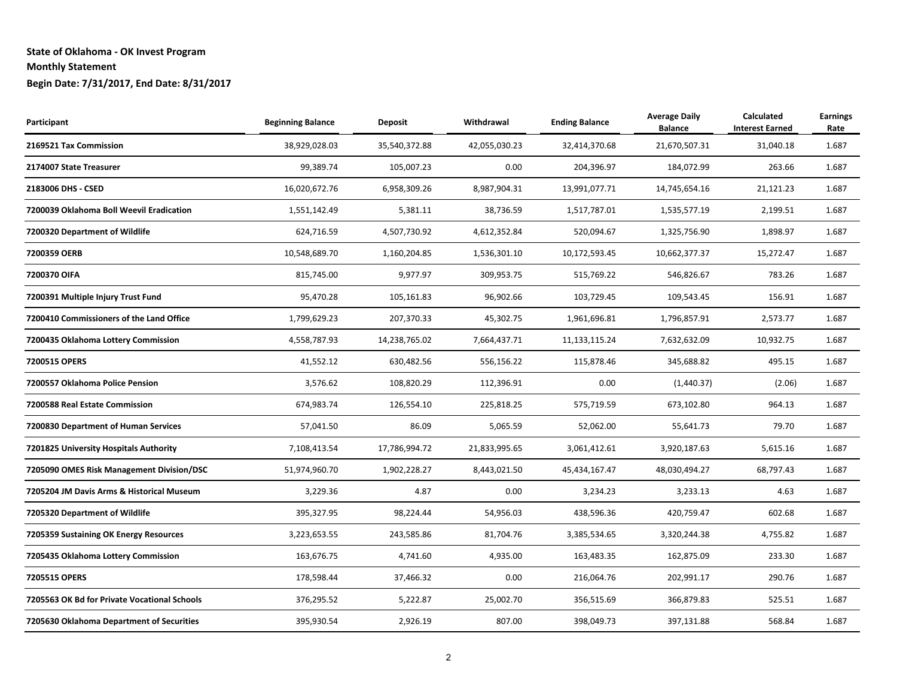| Participant                                  | <b>Beginning Balance</b> | Deposit       | Withdrawal    | <b>Ending Balance</b> | <b>Average Daily</b><br><b>Balance</b> | Calculated<br><b>Interest Earned</b> | <b>Earnings</b><br>Rate |
|----------------------------------------------|--------------------------|---------------|---------------|-----------------------|----------------------------------------|--------------------------------------|-------------------------|
| 2169521 Tax Commission                       | 38,929,028.03            | 35,540,372.88 | 42,055,030.23 | 32,414,370.68         | 21,670,507.31                          | 31,040.18                            | 1.687                   |
| 2174007 State Treasurer                      | 99,389.74                | 105,007.23    | 0.00          | 204,396.97            | 184,072.99                             | 263.66                               | 1.687                   |
| 2183006 DHS - CSED                           | 16,020,672.76            | 6,958,309.26  | 8,987,904.31  | 13,991,077.71         | 14,745,654.16                          | 21,121.23                            | 1.687                   |
| 7200039 Oklahoma Boll Weevil Eradication     | 1,551,142.49             | 5,381.11      | 38,736.59     | 1,517,787.01          | 1,535,577.19                           | 2,199.51                             | 1.687                   |
| 7200320 Department of Wildlife               | 624,716.59               | 4,507,730.92  | 4,612,352.84  | 520,094.67            | 1,325,756.90                           | 1,898.97                             | 1.687                   |
| 7200359 OERB                                 | 10,548,689.70            | 1,160,204.85  | 1,536,301.10  | 10,172,593.45         | 10,662,377.37                          | 15,272.47                            | 1.687                   |
| 7200370 OIFA                                 | 815,745.00               | 9,977.97      | 309,953.75    | 515,769.22            | 546,826.67                             | 783.26                               | 1.687                   |
| 7200391 Multiple Injury Trust Fund           | 95,470.28                | 105,161.83    | 96,902.66     | 103,729.45            | 109,543.45                             | 156.91                               | 1.687                   |
| 7200410 Commissioners of the Land Office     | 1,799,629.23             | 207,370.33    | 45,302.75     | 1,961,696.81          | 1,796,857.91                           | 2,573.77                             | 1.687                   |
| 7200435 Oklahoma Lottery Commission          | 4,558,787.93             | 14,238,765.02 | 7,664,437.71  | 11, 133, 115. 24      | 7,632,632.09                           | 10,932.75                            | 1.687                   |
| 7200515 OPERS                                | 41,552.12                | 630,482.56    | 556,156.22    | 115,878.46            | 345,688.82                             | 495.15                               | 1.687                   |
| 7200557 Oklahoma Police Pension              | 3,576.62                 | 108,820.29    | 112,396.91    | 0.00                  | (1,440.37)                             | (2.06)                               | 1.687                   |
| 7200588 Real Estate Commission               | 674,983.74               | 126,554.10    | 225,818.25    | 575,719.59            | 673,102.80                             | 964.13                               | 1.687                   |
| 7200830 Department of Human Services         | 57,041.50                | 86.09         | 5,065.59      | 52,062.00             | 55,641.73                              | 79.70                                | 1.687                   |
| 7201825 University Hospitals Authority       | 7,108,413.54             | 17,786,994.72 | 21,833,995.65 | 3,061,412.61          | 3,920,187.63                           | 5,615.16                             | 1.687                   |
| 7205090 OMES Risk Management Division/DSC    | 51,974,960.70            | 1,902,228.27  | 8,443,021.50  | 45,434,167.47         | 48,030,494.27                          | 68,797.43                            | 1.687                   |
| 7205204 JM Davis Arms & Historical Museum    | 3,229.36                 | 4.87          | 0.00          | 3,234.23              | 3,233.13                               | 4.63                                 | 1.687                   |
| 7205320 Department of Wildlife               | 395,327.95               | 98,224.44     | 54,956.03     | 438,596.36            | 420,759.47                             | 602.68                               | 1.687                   |
| 7205359 Sustaining OK Energy Resources       | 3,223,653.55             | 243,585.86    | 81,704.76     | 3,385,534.65          | 3,320,244.38                           | 4,755.82                             | 1.687                   |
| 7205435 Oklahoma Lottery Commission          | 163,676.75               | 4,741.60      | 4,935.00      | 163,483.35            | 162,875.09                             | 233.30                               | 1.687                   |
| 7205515 OPERS                                | 178,598.44               | 37,466.32     | 0.00          | 216,064.76            | 202,991.17                             | 290.76                               | 1.687                   |
| 7205563 OK Bd for Private Vocational Schools | 376,295.52               | 5,222.87      | 25,002.70     | 356,515.69            | 366,879.83                             | 525.51                               | 1.687                   |
| 7205630 Oklahoma Department of Securities    | 395,930.54               | 2,926.19      | 807.00        | 398,049.73            | 397,131.88                             | 568.84                               | 1.687                   |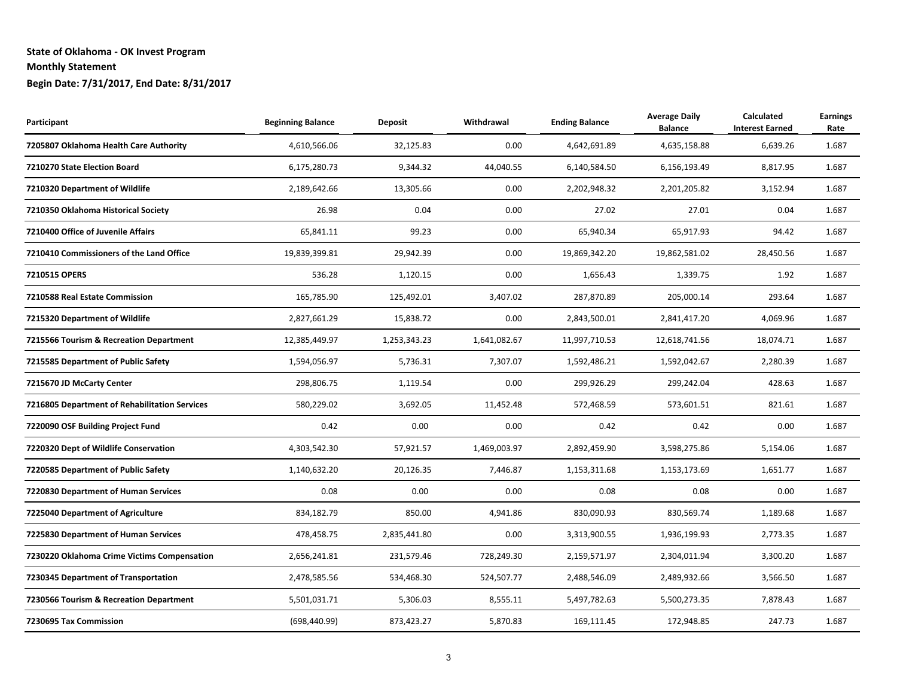| Participant                                   | <b>Beginning Balance</b> | <b>Deposit</b> | Withdrawal   | <b>Ending Balance</b> | <b>Average Daily</b><br><b>Balance</b> | <b>Calculated</b><br><b>Interest Earned</b> | <b>Earnings</b><br>Rate |
|-----------------------------------------------|--------------------------|----------------|--------------|-----------------------|----------------------------------------|---------------------------------------------|-------------------------|
| 7205807 Oklahoma Health Care Authority        | 4,610,566.06             | 32,125.83      | 0.00         | 4,642,691.89          | 4,635,158.88                           | 6,639.26                                    | 1.687                   |
| 7210270 State Election Board                  | 6,175,280.73             | 9,344.32       | 44,040.55    | 6,140,584.50          | 6,156,193.49                           | 8,817.95                                    | 1.687                   |
| 7210320 Department of Wildlife                | 2,189,642.66             | 13,305.66      | 0.00         | 2,202,948.32          | 2,201,205.82                           | 3,152.94                                    | 1.687                   |
| 7210350 Oklahoma Historical Society           | 26.98                    | 0.04           | 0.00         | 27.02                 | 27.01                                  | 0.04                                        | 1.687                   |
| 7210400 Office of Juvenile Affairs            | 65,841.11                | 99.23          | 0.00         | 65,940.34             | 65,917.93                              | 94.42                                       | 1.687                   |
| 7210410 Commissioners of the Land Office      | 19,839,399.81            | 29,942.39      | 0.00         | 19,869,342.20         | 19,862,581.02                          | 28,450.56                                   | 1.687                   |
| 7210515 OPERS                                 | 536.28                   | 1,120.15       | 0.00         | 1,656.43              | 1,339.75                               | 1.92                                        | 1.687                   |
| 7210588 Real Estate Commission                | 165,785.90               | 125,492.01     | 3,407.02     | 287,870.89            | 205,000.14                             | 293.64                                      | 1.687                   |
| 7215320 Department of Wildlife                | 2,827,661.29             | 15,838.72      | 0.00         | 2,843,500.01          | 2,841,417.20                           | 4,069.96                                    | 1.687                   |
| 7215566 Tourism & Recreation Department       | 12,385,449.97            | 1,253,343.23   | 1,641,082.67 | 11,997,710.53         | 12,618,741.56                          | 18,074.71                                   | 1.687                   |
| 7215585 Department of Public Safety           | 1,594,056.97             | 5,736.31       | 7,307.07     | 1,592,486.21          | 1,592,042.67                           | 2,280.39                                    | 1.687                   |
| 7215670 JD McCarty Center                     | 298,806.75               | 1,119.54       | 0.00         | 299,926.29            | 299,242.04                             | 428.63                                      | 1.687                   |
| 7216805 Department of Rehabilitation Services | 580,229.02               | 3,692.05       | 11,452.48    | 572,468.59            | 573,601.51                             | 821.61                                      | 1.687                   |
| 7220090 OSF Building Project Fund             | 0.42                     | 0.00           | 0.00         | 0.42                  | 0.42                                   | 0.00                                        | 1.687                   |
| 7220320 Dept of Wildlife Conservation         | 4,303,542.30             | 57,921.57      | 1,469,003.97 | 2,892,459.90          | 3,598,275.86                           | 5,154.06                                    | 1.687                   |
| 7220585 Department of Public Safety           | 1,140,632.20             | 20,126.35      | 7,446.87     | 1,153,311.68          | 1,153,173.69                           | 1,651.77                                    | 1.687                   |
| 7220830 Department of Human Services          | 0.08                     | 0.00           | 0.00         | 0.08                  | 0.08                                   | 0.00                                        | 1.687                   |
| 7225040 Department of Agriculture             | 834,182.79               | 850.00         | 4,941.86     | 830,090.93            | 830,569.74                             | 1,189.68                                    | 1.687                   |
| 7225830 Department of Human Services          | 478,458.75               | 2,835,441.80   | 0.00         | 3,313,900.55          | 1,936,199.93                           | 2,773.35                                    | 1.687                   |
| 7230220 Oklahoma Crime Victims Compensation   | 2,656,241.81             | 231,579.46     | 728,249.30   | 2,159,571.97          | 2,304,011.94                           | 3,300.20                                    | 1.687                   |
| 7230345 Department of Transportation          | 2,478,585.56             | 534,468.30     | 524,507.77   | 2,488,546.09          | 2,489,932.66                           | 3,566.50                                    | 1.687                   |
| 7230566 Tourism & Recreation Department       | 5,501,031.71             | 5,306.03       | 8,555.11     | 5,497,782.63          | 5,500,273.35                           | 7,878.43                                    | 1.687                   |
| 7230695 Tax Commission                        | (698, 440.99)            | 873,423.27     | 5,870.83     | 169,111.45            | 172,948.85                             | 247.73                                      | 1.687                   |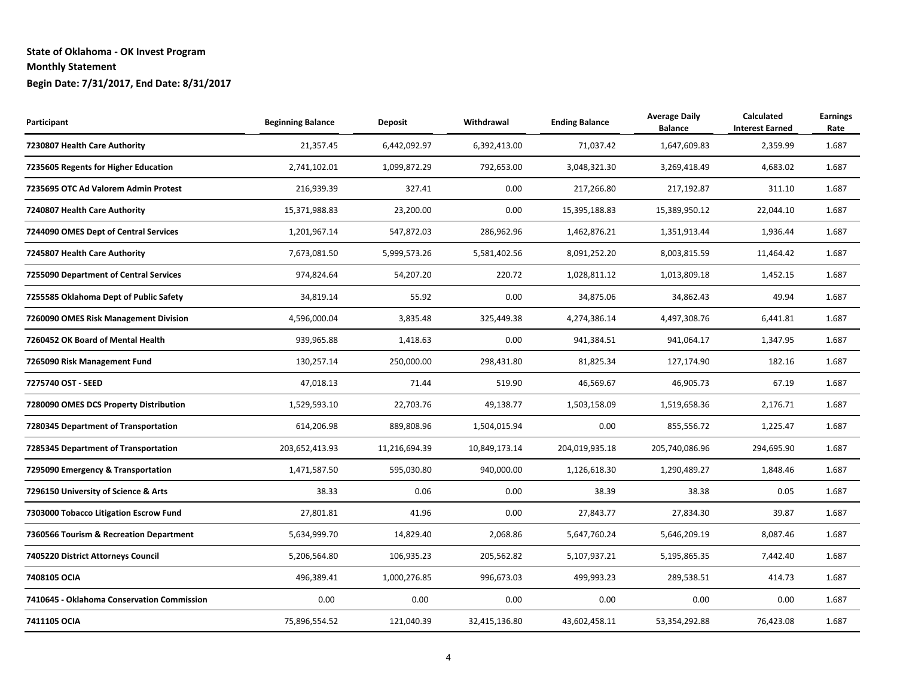| Participant                                | <b>Beginning Balance</b> | <b>Deposit</b> | Withdrawal    | <b>Ending Balance</b> | <b>Average Daily</b><br><b>Balance</b> | <b>Calculated</b><br><b>Interest Earned</b> | <b>Earnings</b><br>Rate |
|--------------------------------------------|--------------------------|----------------|---------------|-----------------------|----------------------------------------|---------------------------------------------|-------------------------|
| 7230807 Health Care Authority              | 21,357.45                | 6,442,092.97   | 6,392,413.00  | 71,037.42             | 1,647,609.83                           | 2,359.99                                    | 1.687                   |
| 7235605 Regents for Higher Education       | 2,741,102.01             | 1,099,872.29   | 792,653.00    | 3,048,321.30          | 3,269,418.49                           | 4,683.02                                    | 1.687                   |
| 7235695 OTC Ad Valorem Admin Protest       | 216,939.39               | 327.41         | 0.00          | 217,266.80            | 217,192.87                             | 311.10                                      | 1.687                   |
| 7240807 Health Care Authority              | 15,371,988.83            | 23,200.00      | 0.00          | 15,395,188.83         | 15,389,950.12                          | 22,044.10                                   | 1.687                   |
| 7244090 OMES Dept of Central Services      | 1,201,967.14             | 547,872.03     | 286,962.96    | 1,462,876.21          | 1,351,913.44                           | 1,936.44                                    | 1.687                   |
| 7245807 Health Care Authority              | 7,673,081.50             | 5,999,573.26   | 5,581,402.56  | 8,091,252.20          | 8,003,815.59                           | 11,464.42                                   | 1.687                   |
| 7255090 Department of Central Services     | 974,824.64               | 54,207.20      | 220.72        | 1,028,811.12          | 1,013,809.18                           | 1,452.15                                    | 1.687                   |
| 7255585 Oklahoma Dept of Public Safety     | 34,819.14                | 55.92          | 0.00          | 34,875.06             | 34,862.43                              | 49.94                                       | 1.687                   |
| 7260090 OMES Risk Management Division      | 4,596,000.04             | 3,835.48       | 325,449.38    | 4,274,386.14          | 4,497,308.76                           | 6,441.81                                    | 1.687                   |
| 7260452 OK Board of Mental Health          | 939,965.88               | 1,418.63       | 0.00          | 941,384.51            | 941,064.17                             | 1,347.95                                    | 1.687                   |
| 7265090 Risk Management Fund               | 130,257.14               | 250,000.00     | 298,431.80    | 81,825.34             | 127,174.90                             | 182.16                                      | 1.687                   |
| 7275740 OST - SEED                         | 47,018.13                | 71.44          | 519.90        | 46,569.67             | 46,905.73                              | 67.19                                       | 1.687                   |
| 7280090 OMES DCS Property Distribution     | 1,529,593.10             | 22,703.76      | 49,138.77     | 1,503,158.09          | 1,519,658.36                           | 2,176.71                                    | 1.687                   |
| 7280345 Department of Transportation       | 614,206.98               | 889,808.96     | 1,504,015.94  | 0.00                  | 855,556.72                             | 1,225.47                                    | 1.687                   |
| 7285345 Department of Transportation       | 203,652,413.93           | 11,216,694.39  | 10,849,173.14 | 204,019,935.18        | 205,740,086.96                         | 294,695.90                                  | 1.687                   |
| 7295090 Emergency & Transportation         | 1,471,587.50             | 595,030.80     | 940,000.00    | 1,126,618.30          | 1,290,489.27                           | 1,848.46                                    | 1.687                   |
| 7296150 University of Science & Arts       | 38.33                    | 0.06           | 0.00          | 38.39                 | 38.38                                  | 0.05                                        | 1.687                   |
| 7303000 Tobacco Litigation Escrow Fund     | 27,801.81                | 41.96          | 0.00          | 27,843.77             | 27,834.30                              | 39.87                                       | 1.687                   |
| 7360566 Tourism & Recreation Department    | 5,634,999.70             | 14,829.40      | 2,068.86      | 5,647,760.24          | 5,646,209.19                           | 8,087.46                                    | 1.687                   |
| 7405220 District Attorneys Council         | 5,206,564.80             | 106,935.23     | 205,562.82    | 5,107,937.21          | 5,195,865.35                           | 7,442.40                                    | 1.687                   |
| 7408105 OCIA                               | 496,389.41               | 1,000,276.85   | 996,673.03    | 499,993.23            | 289,538.51                             | 414.73                                      | 1.687                   |
| 7410645 - Oklahoma Conservation Commission | 0.00                     | 0.00           | 0.00          | 0.00                  | 0.00                                   | 0.00                                        | 1.687                   |
| 7411105 OCIA                               | 75,896,554.52            | 121,040.39     | 32,415,136.80 | 43,602,458.11         | 53,354,292.88                          | 76,423.08                                   | 1.687                   |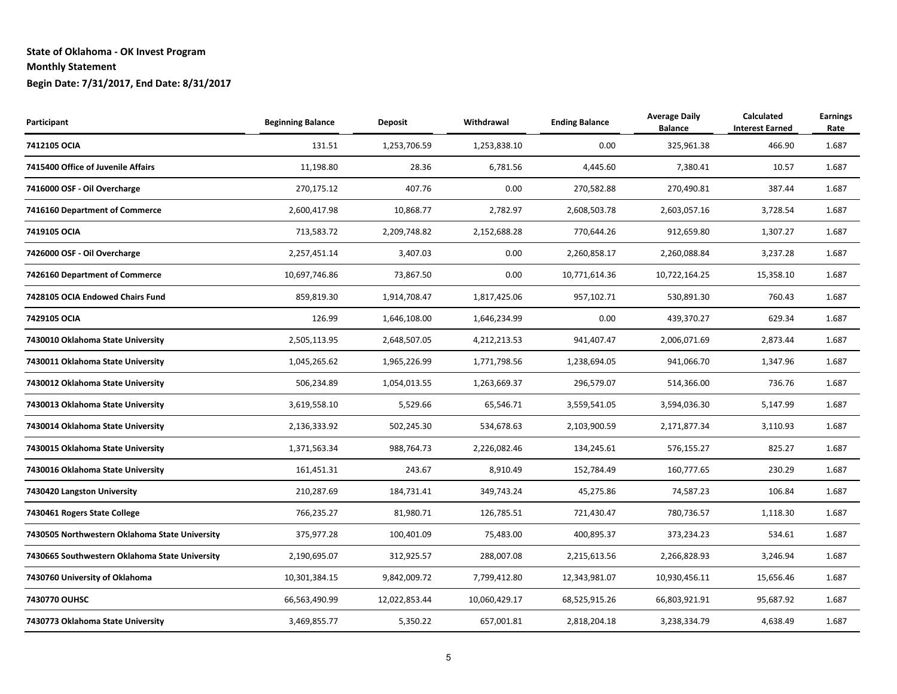| Participant                                    | <b>Beginning Balance</b> | <b>Deposit</b> | Withdrawal    | <b>Ending Balance</b> | <b>Average Daily</b><br><b>Balance</b> | <b>Calculated</b><br><b>Interest Earned</b> | <b>Earnings</b><br>Rate |
|------------------------------------------------|--------------------------|----------------|---------------|-----------------------|----------------------------------------|---------------------------------------------|-------------------------|
| 7412105 OCIA                                   | 131.51                   | 1,253,706.59   | 1,253,838.10  | 0.00                  | 325,961.38                             | 466.90                                      | 1.687                   |
| 7415400 Office of Juvenile Affairs             | 11,198.80                | 28.36          | 6,781.56      | 4,445.60              | 7,380.41                               | 10.57                                       | 1.687                   |
| 7416000 OSF - Oil Overcharge                   | 270,175.12               | 407.76         | 0.00          | 270,582.88            | 270,490.81                             | 387.44                                      | 1.687                   |
| 7416160 Department of Commerce                 | 2,600,417.98             | 10,868.77      | 2,782.97      | 2,608,503.78          | 2,603,057.16                           | 3,728.54                                    | 1.687                   |
| 7419105 OCIA                                   | 713,583.72               | 2,209,748.82   | 2,152,688.28  | 770,644.26            | 912,659.80                             | 1,307.27                                    | 1.687                   |
| 7426000 OSF - Oil Overcharge                   | 2,257,451.14             | 3,407.03       | 0.00          | 2,260,858.17          | 2,260,088.84                           | 3,237.28                                    | 1.687                   |
| 7426160 Department of Commerce                 | 10,697,746.86            | 73,867.50      | 0.00          | 10,771,614.36         | 10,722,164.25                          | 15,358.10                                   | 1.687                   |
| 7428105 OCIA Endowed Chairs Fund               | 859,819.30               | 1,914,708.47   | 1,817,425.06  | 957,102.71            | 530,891.30                             | 760.43                                      | 1.687                   |
| 7429105 OCIA                                   | 126.99                   | 1,646,108.00   | 1,646,234.99  | 0.00                  | 439,370.27                             | 629.34                                      | 1.687                   |
| 7430010 Oklahoma State University              | 2,505,113.95             | 2,648,507.05   | 4,212,213.53  | 941,407.47            | 2,006,071.69                           | 2,873.44                                    | 1.687                   |
| 7430011 Oklahoma State University              | 1,045,265.62             | 1,965,226.99   | 1,771,798.56  | 1,238,694.05          | 941,066.70                             | 1,347.96                                    | 1.687                   |
| 7430012 Oklahoma State University              | 506,234.89               | 1,054,013.55   | 1,263,669.37  | 296,579.07            | 514,366.00                             | 736.76                                      | 1.687                   |
| 7430013 Oklahoma State University              | 3,619,558.10             | 5,529.66       | 65,546.71     | 3,559,541.05          | 3,594,036.30                           | 5,147.99                                    | 1.687                   |
| 7430014 Oklahoma State University              | 2,136,333.92             | 502,245.30     | 534,678.63    | 2,103,900.59          | 2,171,877.34                           | 3,110.93                                    | 1.687                   |
| 7430015 Oklahoma State University              | 1,371,563.34             | 988,764.73     | 2,226,082.46  | 134,245.61            | 576,155.27                             | 825.27                                      | 1.687                   |
| 7430016 Oklahoma State University              | 161,451.31               | 243.67         | 8,910.49      | 152,784.49            | 160,777.65                             | 230.29                                      | 1.687                   |
| 7430420 Langston University                    | 210,287.69               | 184,731.41     | 349,743.24    | 45,275.86             | 74,587.23                              | 106.84                                      | 1.687                   |
| 7430461 Rogers State College                   | 766,235.27               | 81,980.71      | 126,785.51    | 721,430.47            | 780,736.57                             | 1,118.30                                    | 1.687                   |
| 7430505 Northwestern Oklahoma State University | 375,977.28               | 100,401.09     | 75,483.00     | 400,895.37            | 373,234.23                             | 534.61                                      | 1.687                   |
| 7430665 Southwestern Oklahoma State University | 2,190,695.07             | 312,925.57     | 288,007.08    | 2,215,613.56          | 2,266,828.93                           | 3,246.94                                    | 1.687                   |
| 7430760 University of Oklahoma                 | 10,301,384.15            | 9,842,009.72   | 7,799,412.80  | 12,343,981.07         | 10,930,456.11                          | 15,656.46                                   | 1.687                   |
| 7430770 OUHSC                                  | 66,563,490.99            | 12,022,853.44  | 10,060,429.17 | 68,525,915.26         | 66,803,921.91                          | 95,687.92                                   | 1.687                   |
| 7430773 Oklahoma State University              | 3,469,855.77             | 5,350.22       | 657,001.81    | 2,818,204.18          | 3,238,334.79                           | 4,638.49                                    | 1.687                   |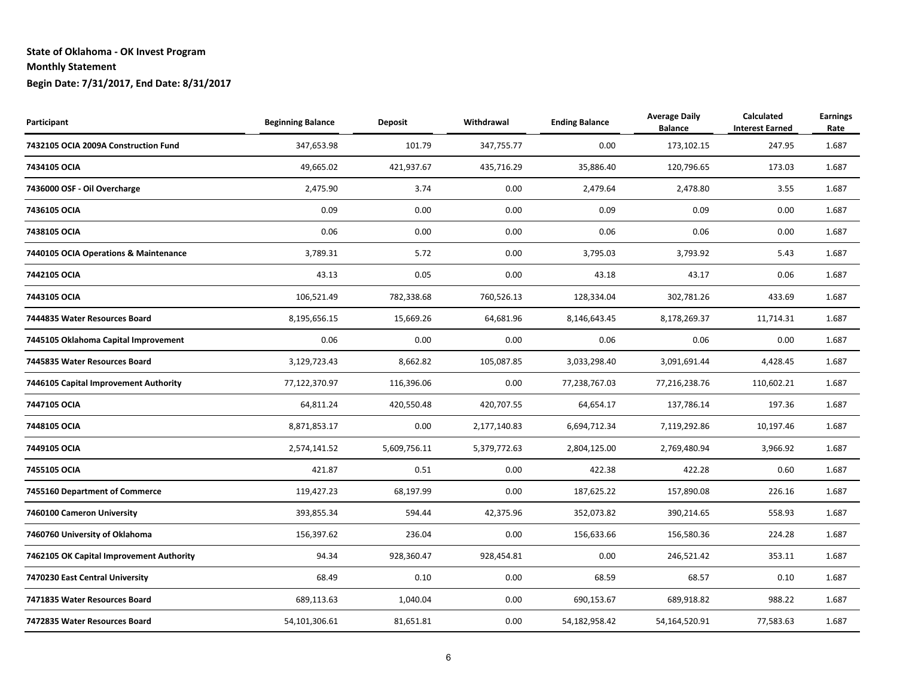| Participant                              | <b>Beginning Balance</b> | <b>Deposit</b> | Withdrawal   | <b>Ending Balance</b> | <b>Average Daily</b><br><b>Balance</b> | <b>Calculated</b><br><b>Interest Earned</b> | <b>Earnings</b><br>Rate |
|------------------------------------------|--------------------------|----------------|--------------|-----------------------|----------------------------------------|---------------------------------------------|-------------------------|
| 7432105 OCIA 2009A Construction Fund     | 347,653.98               | 101.79         | 347,755.77   | 0.00                  | 173,102.15                             | 247.95                                      | 1.687                   |
| 7434105 OCIA                             | 49,665.02                | 421,937.67     | 435,716.29   | 35,886.40             | 120,796.65                             | 173.03                                      | 1.687                   |
| 7436000 OSF - Oil Overcharge             | 2,475.90                 | 3.74           | 0.00         | 2,479.64              | 2,478.80                               | 3.55                                        | 1.687                   |
| 7436105 OCIA                             | 0.09                     | 0.00           | 0.00         | 0.09                  | 0.09                                   | 0.00                                        | 1.687                   |
| 7438105 OCIA                             | 0.06                     | 0.00           | 0.00         | 0.06                  | 0.06                                   | 0.00                                        | 1.687                   |
| 7440105 OCIA Operations & Maintenance    | 3,789.31                 | 5.72           | 0.00         | 3,795.03              | 3,793.92                               | 5.43                                        | 1.687                   |
| 7442105 OCIA                             | 43.13                    | 0.05           | 0.00         | 43.18                 | 43.17                                  | 0.06                                        | 1.687                   |
| 7443105 OCIA                             | 106,521.49               | 782,338.68     | 760,526.13   | 128,334.04            | 302,781.26                             | 433.69                                      | 1.687                   |
| 7444835 Water Resources Board            | 8,195,656.15             | 15,669.26      | 64,681.96    | 8,146,643.45          | 8,178,269.37                           | 11,714.31                                   | 1.687                   |
| 7445105 Oklahoma Capital Improvement     | 0.06                     | 0.00           | 0.00         | 0.06                  | 0.06                                   | 0.00                                        | 1.687                   |
| 7445835 Water Resources Board            | 3,129,723.43             | 8,662.82       | 105,087.85   | 3,033,298.40          | 3,091,691.44                           | 4,428.45                                    | 1.687                   |
| 7446105 Capital Improvement Authority    | 77,122,370.97            | 116,396.06     | 0.00         | 77,238,767.03         | 77,216,238.76                          | 110,602.21                                  | 1.687                   |
| 7447105 OCIA                             | 64,811.24                | 420,550.48     | 420,707.55   | 64,654.17             | 137,786.14                             | 197.36                                      | 1.687                   |
| 7448105 OCIA                             | 8,871,853.17             | 0.00           | 2,177,140.83 | 6,694,712.34          | 7,119,292.86                           | 10,197.46                                   | 1.687                   |
| 7449105 OCIA                             | 2,574,141.52             | 5,609,756.11   | 5,379,772.63 | 2,804,125.00          | 2,769,480.94                           | 3,966.92                                    | 1.687                   |
| 7455105 OCIA                             | 421.87                   | 0.51           | 0.00         | 422.38                | 422.28                                 | 0.60                                        | 1.687                   |
| 7455160 Department of Commerce           | 119,427.23               | 68,197.99      | 0.00         | 187,625.22            | 157,890.08                             | 226.16                                      | 1.687                   |
| 7460100 Cameron University               | 393,855.34               | 594.44         | 42,375.96    | 352,073.82            | 390,214.65                             | 558.93                                      | 1.687                   |
| 7460760 University of Oklahoma           | 156,397.62               | 236.04         | 0.00         | 156,633.66            | 156,580.36                             | 224.28                                      | 1.687                   |
| 7462105 OK Capital Improvement Authority | 94.34                    | 928,360.47     | 928,454.81   | 0.00                  | 246,521.42                             | 353.11                                      | 1.687                   |
| 7470230 East Central University          | 68.49                    | 0.10           | 0.00         | 68.59                 | 68.57                                  | 0.10                                        | 1.687                   |
| 7471835 Water Resources Board            | 689,113.63               | 1,040.04       | 0.00         | 690,153.67            | 689,918.82                             | 988.22                                      | 1.687                   |
| 7472835 Water Resources Board            | 54,101,306.61            | 81,651.81      | 0.00         | 54,182,958.42         | 54,164,520.91                          | 77,583.63                                   | 1.687                   |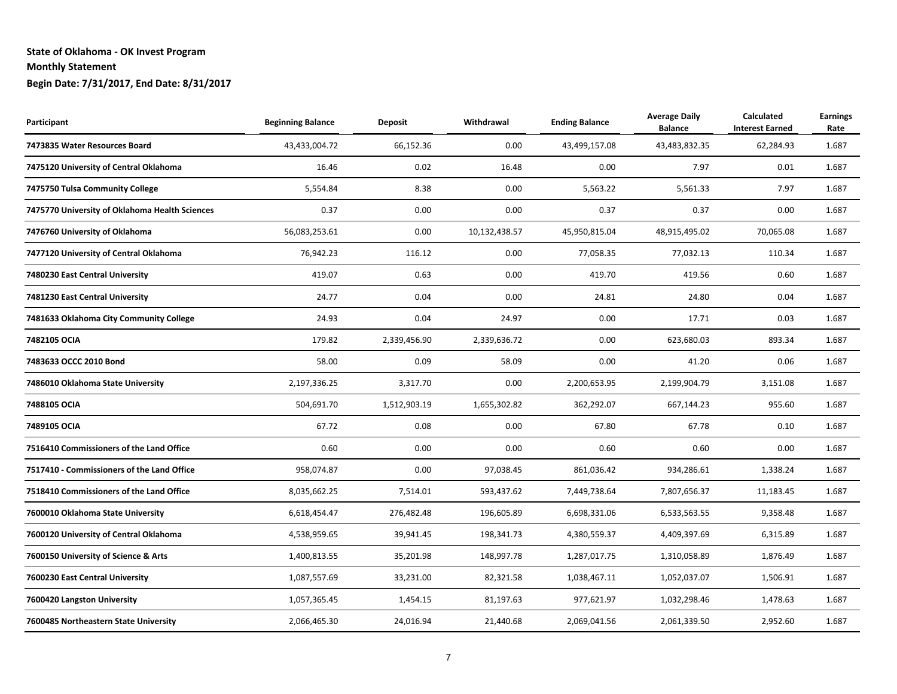| Participant                                    | <b>Beginning Balance</b> | <b>Deposit</b> | Withdrawal    | <b>Ending Balance</b> | <b>Average Daily</b><br><b>Balance</b> | <b>Calculated</b><br><b>Interest Earned</b> | <b>Earnings</b><br>Rate |
|------------------------------------------------|--------------------------|----------------|---------------|-----------------------|----------------------------------------|---------------------------------------------|-------------------------|
| 7473835 Water Resources Board                  | 43,433,004.72            | 66,152.36      | 0.00          | 43,499,157.08         | 43,483,832.35                          | 62,284.93                                   | 1.687                   |
| 7475120 University of Central Oklahoma         | 16.46                    | 0.02           | 16.48         | 0.00                  | 7.97                                   | 0.01                                        | 1.687                   |
| 7475750 Tulsa Community College                | 5,554.84                 | 8.38           | 0.00          | 5,563.22              | 5,561.33                               | 7.97                                        | 1.687                   |
| 7475770 University of Oklahoma Health Sciences | 0.37                     | 0.00           | 0.00          | 0.37                  | 0.37                                   | 0.00                                        | 1.687                   |
| 7476760 University of Oklahoma                 | 56,083,253.61            | 0.00           | 10,132,438.57 | 45,950,815.04         | 48,915,495.02                          | 70,065.08                                   | 1.687                   |
| 7477120 University of Central Oklahoma         | 76,942.23                | 116.12         | 0.00          | 77,058.35             | 77,032.13                              | 110.34                                      | 1.687                   |
| 7480230 East Central University                | 419.07                   | 0.63           | 0.00          | 419.70                | 419.56                                 | 0.60                                        | 1.687                   |
| 7481230 East Central University                | 24.77                    | 0.04           | 0.00          | 24.81                 | 24.80                                  | 0.04                                        | 1.687                   |
| 7481633 Oklahoma City Community College        | 24.93                    | 0.04           | 24.97         | 0.00                  | 17.71                                  | 0.03                                        | 1.687                   |
| 7482105 OCIA                                   | 179.82                   | 2,339,456.90   | 2,339,636.72  | 0.00                  | 623,680.03                             | 893.34                                      | 1.687                   |
| 7483633 OCCC 2010 Bond                         | 58.00                    | 0.09           | 58.09         | 0.00                  | 41.20                                  | 0.06                                        | 1.687                   |
| 7486010 Oklahoma State University              | 2,197,336.25             | 3,317.70       | 0.00          | 2,200,653.95          | 2,199,904.79                           | 3,151.08                                    | 1.687                   |
| 7488105 OCIA                                   | 504,691.70               | 1,512,903.19   | 1,655,302.82  | 362,292.07            | 667,144.23                             | 955.60                                      | 1.687                   |
| 7489105 OCIA                                   | 67.72                    | 0.08           | 0.00          | 67.80                 | 67.78                                  | 0.10                                        | 1.687                   |
| 7516410 Commissioners of the Land Office       | 0.60                     | 0.00           | 0.00          | 0.60                  | 0.60                                   | 0.00                                        | 1.687                   |
| 7517410 - Commissioners of the Land Office     | 958,074.87               | 0.00           | 97,038.45     | 861,036.42            | 934,286.61                             | 1,338.24                                    | 1.687                   |
| 7518410 Commissioners of the Land Office       | 8,035,662.25             | 7,514.01       | 593,437.62    | 7,449,738.64          | 7,807,656.37                           | 11,183.45                                   | 1.687                   |
| 7600010 Oklahoma State University              | 6,618,454.47             | 276,482.48     | 196,605.89    | 6,698,331.06          | 6,533,563.55                           | 9,358.48                                    | 1.687                   |
| 7600120 University of Central Oklahoma         | 4,538,959.65             | 39,941.45      | 198,341.73    | 4,380,559.37          | 4,409,397.69                           | 6,315.89                                    | 1.687                   |
| 7600150 University of Science & Arts           | 1,400,813.55             | 35,201.98      | 148,997.78    | 1,287,017.75          | 1,310,058.89                           | 1,876.49                                    | 1.687                   |
| 7600230 East Central University                | 1,087,557.69             | 33,231.00      | 82,321.58     | 1,038,467.11          | 1,052,037.07                           | 1,506.91                                    | 1.687                   |
| 7600420 Langston University                    | 1,057,365.45             | 1,454.15       | 81,197.63     | 977,621.97            | 1,032,298.46                           | 1,478.63                                    | 1.687                   |
| 7600485 Northeastern State University          | 2,066,465.30             | 24,016.94      | 21,440.68     | 2,069,041.56          | 2,061,339.50                           | 2,952.60                                    | 1.687                   |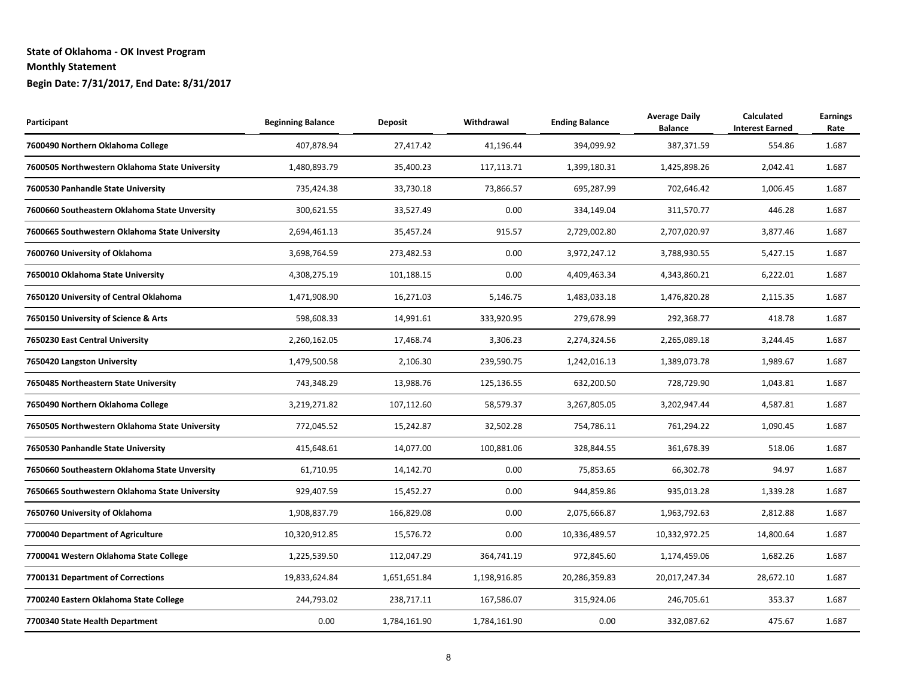| Participant                                    | <b>Beginning Balance</b> | <b>Deposit</b> | Withdrawal   | <b>Ending Balance</b> | <b>Average Daily</b><br><b>Balance</b> | <b>Calculated</b><br><b>Interest Earned</b> | <b>Earnings</b><br>Rate |
|------------------------------------------------|--------------------------|----------------|--------------|-----------------------|----------------------------------------|---------------------------------------------|-------------------------|
| 7600490 Northern Oklahoma College              | 407,878.94               | 27,417.42      | 41,196.44    | 394,099.92            | 387,371.59                             | 554.86                                      | 1.687                   |
| 7600505 Northwestern Oklahoma State University | 1,480,893.79             | 35,400.23      | 117,113.71   | 1,399,180.31          | 1,425,898.26                           | 2,042.41                                    | 1.687                   |
| 7600530 Panhandle State University             | 735,424.38               | 33,730.18      | 73,866.57    | 695,287.99            | 702,646.42                             | 1,006.45                                    | 1.687                   |
| 7600660 Southeastern Oklahoma State Unversity  | 300,621.55               | 33,527.49      | 0.00         | 334,149.04            | 311,570.77                             | 446.28                                      | 1.687                   |
| 7600665 Southwestern Oklahoma State University | 2,694,461.13             | 35,457.24      | 915.57       | 2,729,002.80          | 2,707,020.97                           | 3,877.46                                    | 1.687                   |
| 7600760 University of Oklahoma                 | 3,698,764.59             | 273,482.53     | 0.00         | 3,972,247.12          | 3,788,930.55                           | 5,427.15                                    | 1.687                   |
| 7650010 Oklahoma State University              | 4,308,275.19             | 101,188.15     | 0.00         | 4,409,463.34          | 4,343,860.21                           | 6,222.01                                    | 1.687                   |
| 7650120 University of Central Oklahoma         | 1,471,908.90             | 16,271.03      | 5,146.75     | 1,483,033.18          | 1,476,820.28                           | 2,115.35                                    | 1.687                   |
| 7650150 University of Science & Arts           | 598,608.33               | 14,991.61      | 333,920.95   | 279,678.99            | 292,368.77                             | 418.78                                      | 1.687                   |
| 7650230 East Central University                | 2,260,162.05             | 17,468.74      | 3,306.23     | 2,274,324.56          | 2,265,089.18                           | 3,244.45                                    | 1.687                   |
| 7650420 Langston University                    | 1,479,500.58             | 2,106.30       | 239,590.75   | 1,242,016.13          | 1,389,073.78                           | 1,989.67                                    | 1.687                   |
| 7650485 Northeastern State University          | 743,348.29               | 13,988.76      | 125,136.55   | 632,200.50            | 728,729.90                             | 1,043.81                                    | 1.687                   |
| 7650490 Northern Oklahoma College              | 3,219,271.82             | 107,112.60     | 58,579.37    | 3,267,805.05          | 3,202,947.44                           | 4,587.81                                    | 1.687                   |
| 7650505 Northwestern Oklahoma State University | 772,045.52               | 15,242.87      | 32,502.28    | 754,786.11            | 761,294.22                             | 1,090.45                                    | 1.687                   |
| 7650530 Panhandle State University             | 415,648.61               | 14,077.00      | 100,881.06   | 328,844.55            | 361,678.39                             | 518.06                                      | 1.687                   |
| 7650660 Southeastern Oklahoma State Unversity  | 61,710.95                | 14,142.70      | 0.00         | 75,853.65             | 66,302.78                              | 94.97                                       | 1.687                   |
| 7650665 Southwestern Oklahoma State University | 929,407.59               | 15,452.27      | 0.00         | 944,859.86            | 935,013.28                             | 1,339.28                                    | 1.687                   |
| 7650760 University of Oklahoma                 | 1,908,837.79             | 166,829.08     | 0.00         | 2,075,666.87          | 1,963,792.63                           | 2,812.88                                    | 1.687                   |
| 7700040 Department of Agriculture              | 10,320,912.85            | 15,576.72      | 0.00         | 10,336,489.57         | 10,332,972.25                          | 14,800.64                                   | 1.687                   |
| 7700041 Western Oklahoma State College         | 1,225,539.50             | 112,047.29     | 364,741.19   | 972,845.60            | 1,174,459.06                           | 1,682.26                                    | 1.687                   |
| 7700131 Department of Corrections              | 19,833,624.84            | 1,651,651.84   | 1,198,916.85 | 20,286,359.83         | 20,017,247.34                          | 28,672.10                                   | 1.687                   |
| 7700240 Eastern Oklahoma State College         | 244,793.02               | 238,717.11     | 167,586.07   | 315,924.06            | 246,705.61                             | 353.37                                      | 1.687                   |
| 7700340 State Health Department                | 0.00                     | 1,784,161.90   | 1,784,161.90 | 0.00                  | 332,087.62                             | 475.67                                      | 1.687                   |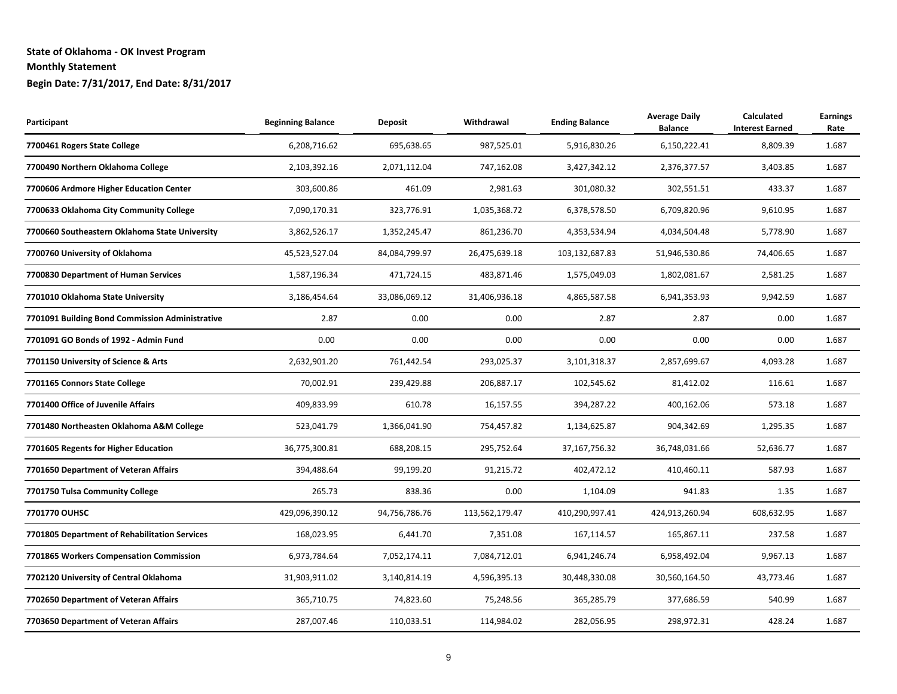| Participant                                     | <b>Beginning Balance</b> | <b>Deposit</b> | Withdrawal     | <b>Ending Balance</b> | <b>Average Daily</b><br><b>Balance</b> | <b>Calculated</b><br><b>Interest Earned</b> | <b>Earnings</b><br>Rate |
|-------------------------------------------------|--------------------------|----------------|----------------|-----------------------|----------------------------------------|---------------------------------------------|-------------------------|
| 7700461 Rogers State College                    | 6,208,716.62             | 695,638.65     | 987,525.01     | 5,916,830.26          | 6,150,222.41                           | 8,809.39                                    | 1.687                   |
| 7700490 Northern Oklahoma College               | 2,103,392.16             | 2,071,112.04   | 747,162.08     | 3,427,342.12          | 2,376,377.57                           | 3,403.85                                    | 1.687                   |
| 7700606 Ardmore Higher Education Center         | 303,600.86               | 461.09         | 2,981.63       | 301,080.32            | 302,551.51                             | 433.37                                      | 1.687                   |
| 7700633 Oklahoma City Community College         | 7,090,170.31             | 323,776.91     | 1,035,368.72   | 6,378,578.50          | 6,709,820.96                           | 9,610.95                                    | 1.687                   |
| 7700660 Southeastern Oklahoma State University  | 3,862,526.17             | 1,352,245.47   | 861,236.70     | 4,353,534.94          | 4,034,504.48                           | 5,778.90                                    | 1.687                   |
| 7700760 University of Oklahoma                  | 45,523,527.04            | 84,084,799.97  | 26,475,639.18  | 103,132,687.83        | 51,946,530.86                          | 74,406.65                                   | 1.687                   |
| 7700830 Department of Human Services            | 1,587,196.34             | 471,724.15     | 483,871.46     | 1,575,049.03          | 1,802,081.67                           | 2,581.25                                    | 1.687                   |
| 7701010 Oklahoma State University               | 3,186,454.64             | 33,086,069.12  | 31,406,936.18  | 4,865,587.58          | 6,941,353.93                           | 9,942.59                                    | 1.687                   |
| 7701091 Building Bond Commission Administrative | 2.87                     | 0.00           | 0.00           | 2.87                  | 2.87                                   | 0.00                                        | 1.687                   |
| 7701091 GO Bonds of 1992 - Admin Fund           | 0.00                     | 0.00           | 0.00           | 0.00                  | 0.00                                   | 0.00                                        | 1.687                   |
| 7701150 University of Science & Arts            | 2,632,901.20             | 761,442.54     | 293,025.37     | 3,101,318.37          | 2,857,699.67                           | 4,093.28                                    | 1.687                   |
| 7701165 Connors State College                   | 70,002.91                | 239,429.88     | 206,887.17     | 102,545.62            | 81,412.02                              | 116.61                                      | 1.687                   |
| 7701400 Office of Juvenile Affairs              | 409,833.99               | 610.78         | 16,157.55      | 394,287.22            | 400,162.06                             | 573.18                                      | 1.687                   |
| 7701480 Northeasten Oklahoma A&M College        | 523,041.79               | 1,366,041.90   | 754,457.82     | 1,134,625.87          | 904,342.69                             | 1,295.35                                    | 1.687                   |
| 7701605 Regents for Higher Education            | 36,775,300.81            | 688,208.15     | 295,752.64     | 37,167,756.32         | 36,748,031.66                          | 52,636.77                                   | 1.687                   |
| 7701650 Department of Veteran Affairs           | 394,488.64               | 99,199.20      | 91,215.72      | 402,472.12            | 410,460.11                             | 587.93                                      | 1.687                   |
| 7701750 Tulsa Community College                 | 265.73                   | 838.36         | 0.00           | 1,104.09              | 941.83                                 | 1.35                                        | 1.687                   |
| 7701770 OUHSC                                   | 429,096,390.12           | 94,756,786.76  | 113,562,179.47 | 410,290,997.41        | 424,913,260.94                         | 608,632.95                                  | 1.687                   |
| 7701805 Department of Rehabilitation Services   | 168,023.95               | 6,441.70       | 7,351.08       | 167,114.57            | 165,867.11                             | 237.58                                      | 1.687                   |
| 7701865 Workers Compensation Commission         | 6,973,784.64             | 7,052,174.11   | 7,084,712.01   | 6,941,246.74          | 6,958,492.04                           | 9,967.13                                    | 1.687                   |
| 7702120 University of Central Oklahoma          | 31,903,911.02            | 3,140,814.19   | 4,596,395.13   | 30,448,330.08         | 30,560,164.50                          | 43,773.46                                   | 1.687                   |
| 7702650 Department of Veteran Affairs           | 365,710.75               | 74,823.60      | 75,248.56      | 365,285.79            | 377,686.59                             | 540.99                                      | 1.687                   |
| 7703650 Department of Veteran Affairs           | 287,007.46               | 110,033.51     | 114,984.02     | 282,056.95            | 298,972.31                             | 428.24                                      | 1.687                   |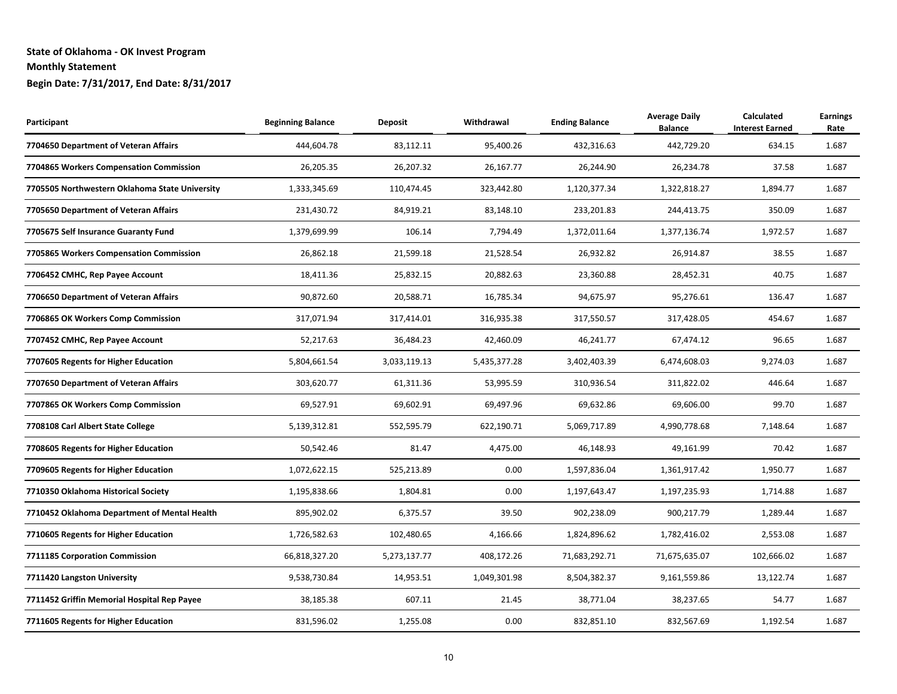| Participant                                    | <b>Beginning Balance</b> | <b>Deposit</b> | Withdrawal   | <b>Ending Balance</b> | <b>Average Daily</b><br><b>Balance</b> | <b>Calculated</b><br><b>Interest Earned</b> | <b>Earnings</b><br>Rate |
|------------------------------------------------|--------------------------|----------------|--------------|-----------------------|----------------------------------------|---------------------------------------------|-------------------------|
| 7704650 Department of Veteran Affairs          | 444,604.78               | 83,112.11      | 95,400.26    | 432,316.63            | 442,729.20                             | 634.15                                      | 1.687                   |
| 7704865 Workers Compensation Commission        | 26,205.35                | 26,207.32      | 26,167.77    | 26,244.90             | 26,234.78                              | 37.58                                       | 1.687                   |
| 7705505 Northwestern Oklahoma State University | 1,333,345.69             | 110,474.45     | 323,442.80   | 1,120,377.34          | 1,322,818.27                           | 1,894.77                                    | 1.687                   |
| 7705650 Department of Veteran Affairs          | 231,430.72               | 84,919.21      | 83,148.10    | 233,201.83            | 244,413.75                             | 350.09                                      | 1.687                   |
| 7705675 Self Insurance Guaranty Fund           | 1,379,699.99             | 106.14         | 7,794.49     | 1,372,011.64          | 1,377,136.74                           | 1,972.57                                    | 1.687                   |
| 7705865 Workers Compensation Commission        | 26,862.18                | 21,599.18      | 21,528.54    | 26,932.82             | 26,914.87                              | 38.55                                       | 1.687                   |
| 7706452 CMHC, Rep Payee Account                | 18,411.36                | 25,832.15      | 20,882.63    | 23,360.88             | 28,452.31                              | 40.75                                       | 1.687                   |
| 7706650 Department of Veteran Affairs          | 90,872.60                | 20,588.71      | 16,785.34    | 94,675.97             | 95,276.61                              | 136.47                                      | 1.687                   |
| 7706865 OK Workers Comp Commission             | 317,071.94               | 317,414.01     | 316,935.38   | 317,550.57            | 317,428.05                             | 454.67                                      | 1.687                   |
| 7707452 CMHC, Rep Payee Account                | 52,217.63                | 36,484.23      | 42,460.09    | 46,241.77             | 67,474.12                              | 96.65                                       | 1.687                   |
| 7707605 Regents for Higher Education           | 5,804,661.54             | 3,033,119.13   | 5,435,377.28 | 3,402,403.39          | 6,474,608.03                           | 9,274.03                                    | 1.687                   |
| 7707650 Department of Veteran Affairs          | 303,620.77               | 61,311.36      | 53,995.59    | 310,936.54            | 311,822.02                             | 446.64                                      | 1.687                   |
| 7707865 OK Workers Comp Commission             | 69,527.91                | 69,602.91      | 69,497.96    | 69,632.86             | 69,606.00                              | 99.70                                       | 1.687                   |
| 7708108 Carl Albert State College              | 5,139,312.81             | 552,595.79     | 622,190.71   | 5,069,717.89          | 4,990,778.68                           | 7,148.64                                    | 1.687                   |
| 7708605 Regents for Higher Education           | 50,542.46                | 81.47          | 4,475.00     | 46,148.93             | 49,161.99                              | 70.42                                       | 1.687                   |
| 7709605 Regents for Higher Education           | 1,072,622.15             | 525,213.89     | 0.00         | 1,597,836.04          | 1,361,917.42                           | 1,950.77                                    | 1.687                   |
| 7710350 Oklahoma Historical Society            | 1,195,838.66             | 1,804.81       | 0.00         | 1,197,643.47          | 1,197,235.93                           | 1,714.88                                    | 1.687                   |
| 7710452 Oklahoma Department of Mental Health   | 895,902.02               | 6,375.57       | 39.50        | 902,238.09            | 900,217.79                             | 1,289.44                                    | 1.687                   |
| 7710605 Regents for Higher Education           | 1,726,582.63             | 102,480.65     | 4,166.66     | 1,824,896.62          | 1,782,416.02                           | 2,553.08                                    | 1.687                   |
| 7711185 Corporation Commission                 | 66,818,327.20            | 5,273,137.77   | 408,172.26   | 71,683,292.71         | 71,675,635.07                          | 102,666.02                                  | 1.687                   |
| 7711420 Langston University                    | 9,538,730.84             | 14,953.51      | 1,049,301.98 | 8,504,382.37          | 9,161,559.86                           | 13,122.74                                   | 1.687                   |
| 7711452 Griffin Memorial Hospital Rep Payee    | 38,185.38                | 607.11         | 21.45        | 38,771.04             | 38,237.65                              | 54.77                                       | 1.687                   |
| 7711605 Regents for Higher Education           | 831,596.02               | 1,255.08       | 0.00         | 832,851.10            | 832,567.69                             | 1,192.54                                    | 1.687                   |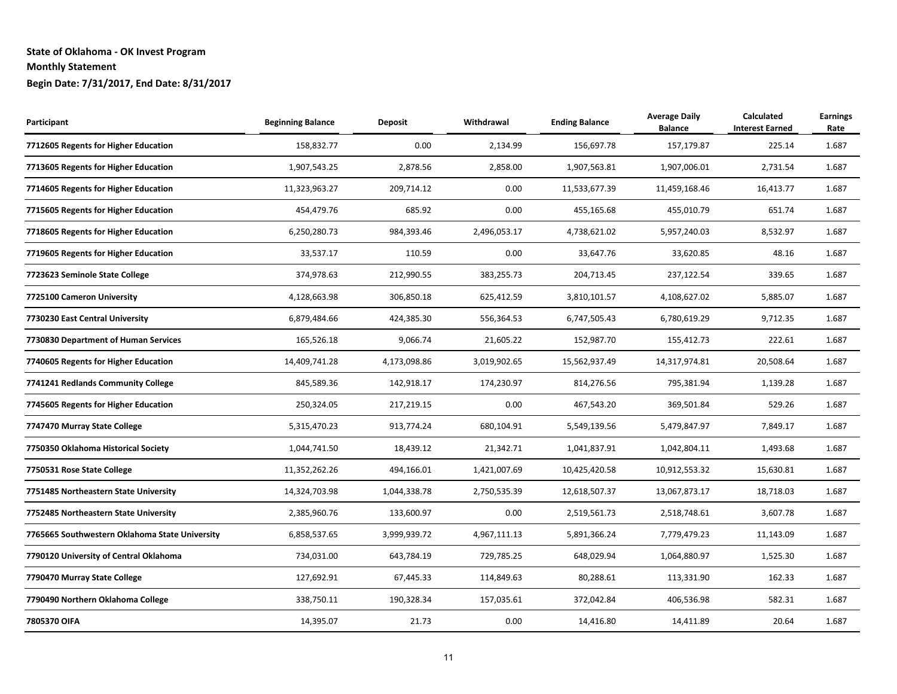| Participant                                    | <b>Beginning Balance</b> | <b>Deposit</b> | Withdrawal   | <b>Ending Balance</b> | <b>Average Daily</b><br><b>Balance</b> | <b>Calculated</b><br><b>Interest Earned</b> | <b>Earnings</b><br>Rate |
|------------------------------------------------|--------------------------|----------------|--------------|-----------------------|----------------------------------------|---------------------------------------------|-------------------------|
| 7712605 Regents for Higher Education           | 158,832.77               | 0.00           | 2,134.99     | 156,697.78            | 157,179.87                             | 225.14                                      | 1.687                   |
| 7713605 Regents for Higher Education           | 1,907,543.25             | 2,878.56       | 2,858.00     | 1,907,563.81          | 1,907,006.01                           | 2,731.54                                    | 1.687                   |
| 7714605 Regents for Higher Education           | 11,323,963.27            | 209,714.12     | 0.00         | 11,533,677.39         | 11,459,168.46                          | 16,413.77                                   | 1.687                   |
| 7715605 Regents for Higher Education           | 454,479.76               | 685.92         | 0.00         | 455,165.68            | 455,010.79                             | 651.74                                      | 1.687                   |
| 7718605 Regents for Higher Education           | 6,250,280.73             | 984,393.46     | 2,496,053.17 | 4,738,621.02          | 5,957,240.03                           | 8,532.97                                    | 1.687                   |
| 7719605 Regents for Higher Education           | 33,537.17                | 110.59         | 0.00         | 33,647.76             | 33,620.85                              | 48.16                                       | 1.687                   |
| 7723623 Seminole State College                 | 374,978.63               | 212,990.55     | 383,255.73   | 204,713.45            | 237,122.54                             | 339.65                                      | 1.687                   |
| 7725100 Cameron University                     | 4,128,663.98             | 306,850.18     | 625,412.59   | 3,810,101.57          | 4,108,627.02                           | 5,885.07                                    | 1.687                   |
| 7730230 East Central University                | 6,879,484.66             | 424,385.30     | 556,364.53   | 6,747,505.43          | 6,780,619.29                           | 9,712.35                                    | 1.687                   |
| 7730830 Department of Human Services           | 165,526.18               | 9,066.74       | 21,605.22    | 152,987.70            | 155,412.73                             | 222.61                                      | 1.687                   |
| 7740605 Regents for Higher Education           | 14,409,741.28            | 4,173,098.86   | 3,019,902.65 | 15,562,937.49         | 14,317,974.81                          | 20,508.64                                   | 1.687                   |
| 7741241 Redlands Community College             | 845,589.36               | 142,918.17     | 174,230.97   | 814,276.56            | 795,381.94                             | 1,139.28                                    | 1.687                   |
| 7745605 Regents for Higher Education           | 250,324.05               | 217,219.15     | 0.00         | 467,543.20            | 369,501.84                             | 529.26                                      | 1.687                   |
| 7747470 Murray State College                   | 5,315,470.23             | 913,774.24     | 680,104.91   | 5,549,139.56          | 5,479,847.97                           | 7,849.17                                    | 1.687                   |
| 7750350 Oklahoma Historical Society            | 1,044,741.50             | 18,439.12      | 21,342.71    | 1,041,837.91          | 1,042,804.11                           | 1,493.68                                    | 1.687                   |
| 7750531 Rose State College                     | 11,352,262.26            | 494,166.01     | 1,421,007.69 | 10,425,420.58         | 10,912,553.32                          | 15,630.81                                   | 1.687                   |
| 7751485 Northeastern State University          | 14,324,703.98            | 1,044,338.78   | 2,750,535.39 | 12,618,507.37         | 13,067,873.17                          | 18,718.03                                   | 1.687                   |
| 7752485 Northeastern State University          | 2,385,960.76             | 133,600.97     | 0.00         | 2,519,561.73          | 2,518,748.61                           | 3,607.78                                    | 1.687                   |
| 7765665 Southwestern Oklahoma State University | 6,858,537.65             | 3,999,939.72   | 4,967,111.13 | 5,891,366.24          | 7,779,479.23                           | 11,143.09                                   | 1.687                   |
| 7790120 University of Central Oklahoma         | 734,031.00               | 643,784.19     | 729,785.25   | 648,029.94            | 1,064,880.97                           | 1,525.30                                    | 1.687                   |
| 7790470 Murray State College                   | 127,692.91               | 67,445.33      | 114,849.63   | 80,288.61             | 113,331.90                             | 162.33                                      | 1.687                   |
| 7790490 Northern Oklahoma College              | 338,750.11               | 190,328.34     | 157,035.61   | 372,042.84            | 406,536.98                             | 582.31                                      | 1.687                   |
| 7805370 OIFA                                   | 14,395.07                | 21.73          | 0.00         | 14,416.80             | 14,411.89                              | 20.64                                       | 1.687                   |